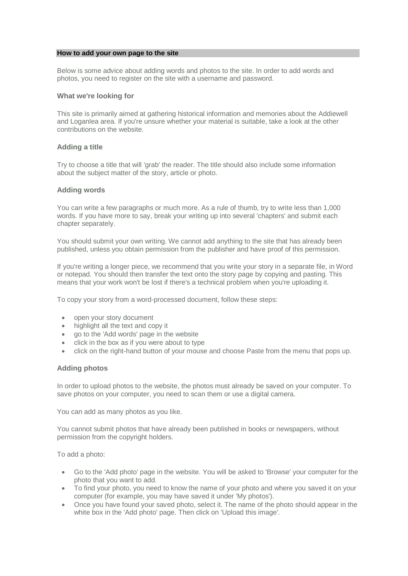#### **How to add your own page to the site**

Below is some advice about adding words and photos to the site. In order to add words and photos, you need to register on the site with a username and password.

### **What we're looking for**

This site is primarily aimed at gathering historical information and memories about the Addiewell and Loganlea area. If you're unsure whether your material is suitable, take a look at the other contributions on the website.

## **Adding a title**

Try to choose a title that will 'grab' the reader. The title should also include some information about the subject matter of the story, article or photo.

## **Adding words**

You can write a few paragraphs or much more. As a rule of thumb, try to write less than 1,000 words. If you have more to say, break your writing up into several 'chapters' and submit each chapter separately.

You should submit your own writing. We cannot add anything to the site that has already been published, unless you obtain permission from the publisher and have proof of this permission.

If you're writing a longer piece, we recommend that you write your story in a separate file, in Word or notepad. You should then transfer the text onto the story page by copying and pasting. This means that your work won't be lost if there's a technical problem when you're uploading it.

To copy your story from a word-processed document, follow these steps:

- open your story document
- highlight all the text and copy it
- go to the 'Add words' page in the website
- click in the box as if you were about to type
- click on the right-hand button of your mouse and choose Paste from the menu that pops up.

# **Adding photos**

In order to upload photos to the website, the photos must already be saved on your computer. To save photos on your computer, you need to scan them or use a digital camera.

You can add as many photos as you like.

You cannot submit photos that have already been published in books or newspapers, without permission from the copyright holders.

To add a photo:

- Go to the 'Add photo' page in the website. You will be asked to 'Browse' your computer for the photo that you want to add.
- To find your photo, you need to know the name of your photo and where you saved it on your computer (for example, you may have saved it under 'My photos').
- Once you have found your saved photo, select it. The name of the photo should appear in the white box in the 'Add photo' page. Then click on 'Upload this image'.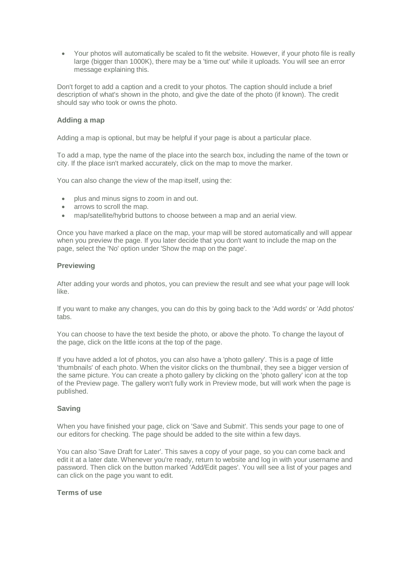Your photos will automatically be scaled to fit the website. However, if your photo file is really large (bigger than 1000K), there may be a 'time out' while it uploads. You will see an error message explaining this.

Don't forget to add a caption and a credit to your photos. The caption should include a brief description of what's shown in the photo, and give the date of the photo (if known). The credit should say who took or owns the photo.

## **Adding a map**

Adding a map is optional, but may be helpful if your page is about a particular place.

To add a map, type the name of the place into the search box, including the name of the town or city. If the place isn't marked accurately, click on the map to move the marker.

You can also change the view of the map itself, using the:

- plus and minus signs to zoom in and out.
- arrows to scroll the map.
- map/satellite/hybrid buttons to choose between a map and an aerial view.

Once you have marked a place on the map, your map will be stored automatically and will appear when you preview the page. If you later decide that you don't want to include the map on the page, select the 'No' option under 'Show the map on the page'.

## **Previewing**

After adding your words and photos, you can preview the result and see what your page will look like.

If you want to make any changes, you can do this by going back to the 'Add words' or 'Add photos' tabs.

You can choose to have the text beside the photo, or above the photo. To change the layout of the page, click on the little icons at the top of the page.

If you have added a lot of photos, you can also have a 'photo gallery'. This is a page of little 'thumbnails' of each photo. When the visitor clicks on the thumbnail, they see a bigger version of the same picture. You can create a photo gallery by clicking on the 'photo gallery' icon at the top of the Preview page. The gallery won't fully work in Preview mode, but will work when the page is published.

### **Saving**

When you have finished your page, click on 'Save and Submit'. This sends your page to one of our editors for checking. The page should be added to the site within a few days.

You can also 'Save Draft for Later'. This saves a copy of your page, so you can come back and edit it at a later date. Whenever you're ready, return to website and log in with your username and password. Then click on the button marked 'Add/Edit pages'. You will see a list of your pages and can click on the page you want to edit.

## **Terms of use**